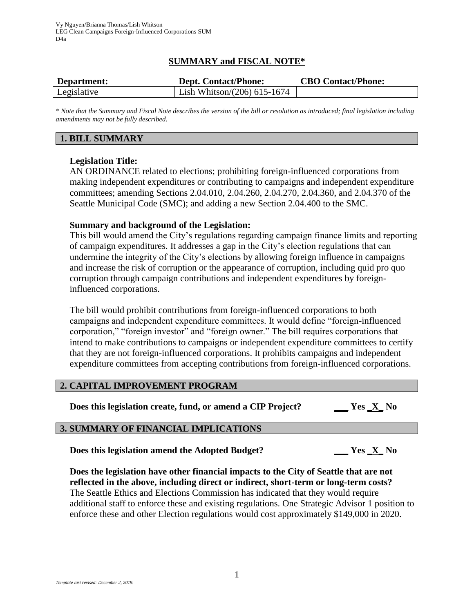# **SUMMARY and FISCAL NOTE\***

| Department: | <b>Dept. Contact/Phone:</b>    | <b>CBO Contact/Phone:</b> |
|-------------|--------------------------------|---------------------------|
| Legislative | Lish Whitson/ $(206)$ 615-1674 |                           |

*\* Note that the Summary and Fiscal Note describes the version of the bill or resolution as introduced; final legislation including amendments may not be fully described.*

# **1. BILL SUMMARY**

## **Legislation Title:**

AN ORDINANCE related to elections; prohibiting foreign-influenced corporations from making independent expenditures or contributing to campaigns and independent expenditure committees; amending Sections 2.04.010, 2.04.260, 2.04.270, 2.04.360, and 2.04.370 of the Seattle Municipal Code (SMC); and adding a new Section 2.04.400 to the SMC.

## **Summary and background of the Legislation:**

This bill would amend the City's regulations regarding campaign finance limits and reporting of campaign expenditures. It addresses a gap in the City's election regulations that can undermine the integrity of the City's elections by allowing foreign influence in campaigns and increase the risk of corruption or the appearance of corruption, including quid pro quo corruption through campaign contributions and independent expenditures by foreigninfluenced corporations.

The bill would prohibit contributions from foreign-influenced corporations to both campaigns and independent expenditure committees. It would define "foreign-influenced corporation," "foreign investor" and "foreign owner." The bill requires corporations that intend to make contributions to campaigns or independent expenditure committees to certify that they are not foreign-influenced corporations. It prohibits campaigns and independent expenditure committees from accepting contributions from foreign-influenced corporations.

## **2. CAPITAL IMPROVEMENT PROGRAM**

**Does this legislation create, fund, or amend a CIP Project? \_\_\_ Yes \_X\_ No**

# **3. SUMMARY OF FINANCIAL IMPLICATIONS**

**Does this legislation amend the Adopted Budget? \_\_\_ Yes \_X\_ No**

**Does the legislation have other financial impacts to the City of Seattle that are not reflected in the above, including direct or indirect, short-term or long-term costs?** The Seattle Ethics and Elections Commission has indicated that they would require additional staff to enforce these and existing regulations. One Strategic Advisor 1 position to enforce these and other Election regulations would cost approximately \$149,000 in 2020.